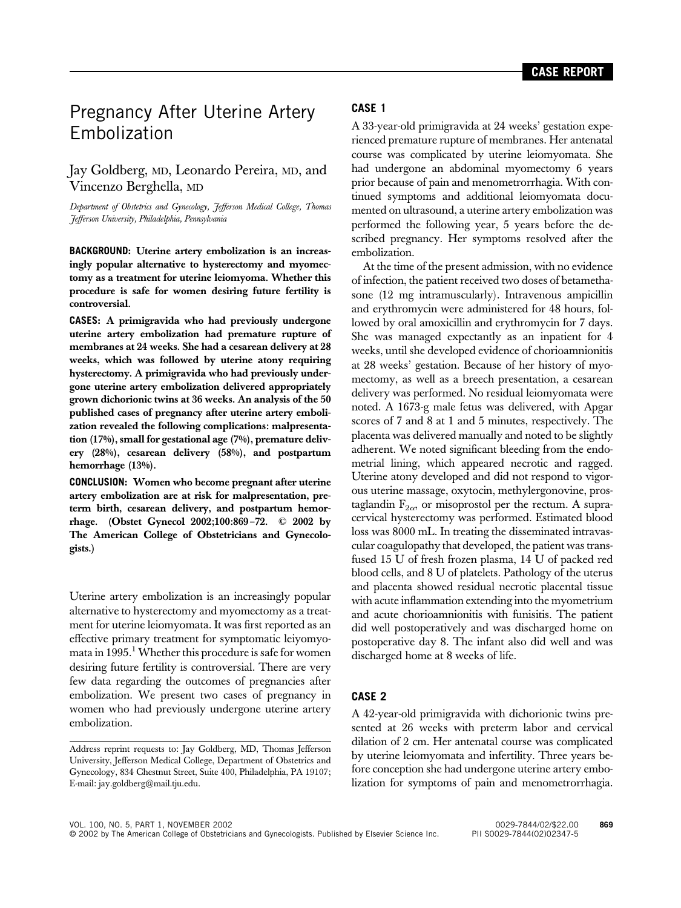# Pregnancy After Uterine Artery Embolization

## Jay Goldberg, MD, Leonardo Pereira, MD, and Vincenzo Berghella, MD

*Department of Obstetrics and Gynecology, Jefferson Medical College, Thomas Jefferson University, Philadelphia, Pennsylvania*

**BACKGROUND:** Uterine artery embolization is an increasingly popular alternative to hysterectomy and myomectomy as a treatment for uterine leiomyoma. Whether this procedure is safe for women desiring future fertility is controversial.

**CASES:** A primigravida who had previously undergone uterine artery embolization had premature rupture of membranes at 24 weeks. She had a cesarean delivery at 28 weeks, which was followed by uterine atony requiring hysterectomy. A primigravida who had previously undergone uterine artery embolization delivered appropriately grown dichorionic twins at 36 weeks. An analysis of the 50 published cases of pregnancy after uterine artery embolization revealed the following complications: malpresentation (17%), small for gestational age (7%), premature delivery (28%), cesarean delivery (58%), and postpartum hemorrhage (13%).

**CONCLUSION:** Women who become pregnant after uterine artery embolization are at risk for malpresentation, preterm birth, cesarean delivery, and postpartum hemorrhage. (Obstet Gynecol 2002;100:869–72. © 2002 by The American College of Obstetricians and Gynecologists.)

Uterine artery embolization is an increasingly popular alternative to hysterectomy and myomectomy as a treatment for uterine leiomyomata. It was first reported as an effective primary treatment for symptomatic leiyomyomata in  $1995<sup>1</sup>$  Whether this procedure is safe for women desiring future fertility is controversial. There are very few data regarding the outcomes of pregnancies after embolization. We present two cases of pregnancy in women who had previously undergone uterine artery embolization.

#### **CASE 1**

A 33-year-old primigravida at 24 weeks' gestation experienced premature rupture of membranes. Her antenatal course was complicated by uterine leiomyomata. She had undergone an abdominal myomectomy 6 years prior because of pain and menometrorrhagia. With continued symptoms and additional leiomyomata documented on ultrasound, a uterine artery embolization was performed the following year, 5 years before the described pregnancy. Her symptoms resolved after the embolization.

At the time of the present admission, with no evidence of infection, the patient received two doses of betamethasone (12 mg intramuscularly). Intravenous ampicillin and erythromycin were administered for 48 hours, followed by oral amoxicillin and erythromycin for 7 days. She was managed expectantly as an inpatient for 4 weeks, until she developed evidence of chorioamnionitis at 28 weeks' gestation. Because of her history of myomectomy, as well as a breech presentation, a cesarean delivery was performed. No residual leiomyomata were noted. A 1673-g male fetus was delivered, with Apgar scores of 7 and 8 at 1 and 5 minutes, respectively. The placenta was delivered manually and noted to be slightly adherent. We noted significant bleeding from the endometrial lining, which appeared necrotic and ragged. Uterine atony developed and did not respond to vigorous uterine massage, oxytocin, methylergonovine, prostaglandin  $F_{2\alpha}$ , or misoprostol per the rectum. A supracervical hysterectomy was performed. Estimated blood loss was 8000 mL. In treating the disseminated intravascular coagulopathy that developed, the patient was transfused 15 U of fresh frozen plasma, 14 U of packed red blood cells, and 8 U of platelets. Pathology of the uterus and placenta showed residual necrotic placental tissue with acute inflammation extending into the myometrium and acute chorioamnionitis with funisitis. The patient did well postoperatively and was discharged home on postoperative day 8. The infant also did well and was discharged home at 8 weeks of life.

### **CASE 2**

A 42-year-old primigravida with dichorionic twins presented at 26 weeks with preterm labor and cervical dilation of 2 cm. Her antenatal course was complicated by uterine leiomyomata and infertility. Three years before conception she had undergone uterine artery embolization for symptoms of pain and menometrorrhagia.

VOL. 100, NO. 5, PART 1, NOVEMBER 2002 0029-7844/02/\$22.00 **869** © 2002 by The American College of Obstetricians and Gynecologists. Published by Elsevier Science Inc. PII S0029-7844(02)02347-5

Address reprint requests to: Jay Goldberg, MD, Thomas Jefferson University, Jefferson Medical College, Department of Obstetrics and Gynecology, 834 Chestnut Street, Suite 400, Philadelphia, PA 19107; E-mail: jay.goldberg@mail.tju.edu.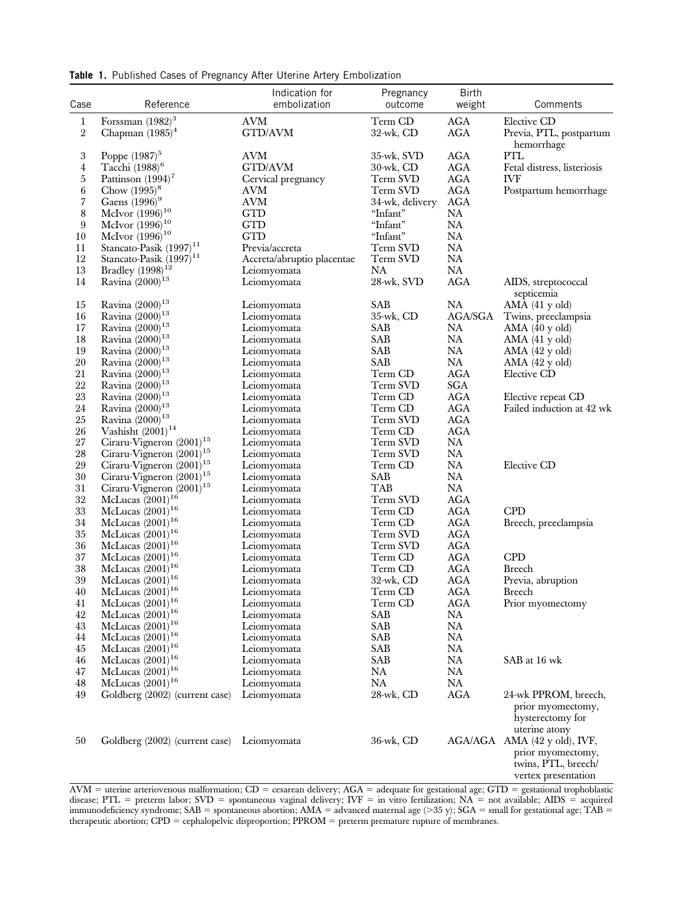**Table 1.** Published Cases of Pregnancy After Uterine Artery Embolization

| Case                  | Indication for<br>Reference<br>embolization    |                            | Pregnancy<br>outcome        | <b>Birth</b><br>weight   | Comments                                                                                                         |  |
|-----------------------|------------------------------------------------|----------------------------|-----------------------------|--------------------------|------------------------------------------------------------------------------------------------------------------|--|
| $\mathbf{1}$<br>$\,2$ | Forssman $(1982)^3$<br>Chapman $(1985)^4$      | <b>AVM</b><br>GTD/AVM      | Term CD<br>$32$ -wk, CD     | AGA<br>AGA               | Elective CD<br>Previa, PTL, postpartum                                                                           |  |
| $\,3$<br>4            | Poppe $(1987)^5$<br>Tacchi $(1988)^6$          | AVM<br>GTD/AVM             | 35-wk, SVD<br>$30$ -wk, CD  | <b>AGA</b><br><b>AGA</b> | hemorrhage<br>PTL<br>Fetal distress, listeriosis                                                                 |  |
| 5<br>6                | Pattinson $(1994)^7$<br>Chow $(1995)^8$        | Cervical pregnancy<br>AVM  | Term SVD<br>Term SVD        | AGA<br><b>AGA</b>        | <b>IVF</b><br>Postpartum hemorrhage                                                                              |  |
| 7<br>$\,8\,$          | Gaens $(1996)^9$<br>McIvor $(1996)^{10}$       | <b>AVM</b><br>GTD          | 34-wk, delivery<br>"Infant" | AGA<br><b>NA</b>         |                                                                                                                  |  |
| 9                     | McIvor $(1996)^{10}$                           | <b>GTD</b>                 | "Infant"                    | <b>NA</b>                |                                                                                                                  |  |
| 10                    | McIvor $(1996)^{10}$                           | <b>GTD</b>                 | "Infant"                    | <b>NA</b>                |                                                                                                                  |  |
| 11                    | Stancato-Pasik (1997) <sup>11</sup>            | Previa/accreta             | Term SVD                    | NA                       |                                                                                                                  |  |
| 12                    | Stancato-Pasik (1997) <sup>11</sup>            | Accreta/abruptio placentae | Term SVD                    | NA                       |                                                                                                                  |  |
| $13\,$                | Bradley $(1998)^{12}$                          | Leiomyomata                | NA                          | <b>NA</b>                |                                                                                                                  |  |
| 14                    | Ravina (2000) <sup>13</sup>                    | Leiomyomata                | 28-wk, SVD                  | AGA                      | AIDS, streptococcal<br>septicemia                                                                                |  |
| $15\,$                | Ravina (2000) <sup>13</sup>                    | Leiomyomata                | SAB                         | NA                       | AMA(41 y old)                                                                                                    |  |
| 16                    | Ravina (2000) <sup>13</sup>                    | Leiomyomata                | $35$ -wk, CD                | AGA/SGA                  | Twins, preeclampsia                                                                                              |  |
| 17                    | Ravina $(2000)^{13}$                           | Leiomyomata                | SAB                         | NA                       | AMA (40 y old)                                                                                                   |  |
| 18                    | Ravina (2000) <sup>13</sup>                    | Leiomyomata                | SAB.                        | NA                       | AMA (41 y old)                                                                                                   |  |
| 19                    | Ravina (2000) <sup>13</sup>                    | Leiomyomata                | SAB                         | NA                       | $AMA$ $(42 \text{ y old})$                                                                                       |  |
| 20                    | Ravina $(2000)^{13}$                           | Leiomyomata                | SAB                         | NA                       | AMA $(42 \text{ y old})$                                                                                         |  |
| 21                    | Ravina (2000) <sup>13</sup>                    | Leiomyomata                | Term CD                     | <b>AGA</b>               | Elective CD                                                                                                      |  |
| $22\,$                | Ravina (2000) <sup>13</sup>                    | Leiomyomata                | Term SVD                    | SGA                      |                                                                                                                  |  |
| 23                    | Ravina $(2000)^{13}$                           | Leiomyomata                | Term CD                     | <b>AGA</b>               | Elective repeat CD                                                                                               |  |
| $24\,$                | Ravina (2000) <sup>13</sup>                    | Leiomyomata                | Term CD                     | <b>AGA</b>               | Failed induction at 42 wk                                                                                        |  |
| 25                    | Ravina $(2000)^{13}$                           | Leiomyomata                | Term SVD                    | AGA                      |                                                                                                                  |  |
| $26\,$                | Vashisht $(2001)^{14}$                         | Leiomyomata                | Term CD                     | <b>AGA</b>               |                                                                                                                  |  |
| $27\,$                | Ciraru-Vigneron (2001) <sup>15</sup>           | Leiomyomata                | Term SVD                    | <b>NA</b>                |                                                                                                                  |  |
| 28                    | Ciraru-Vigneron (2001) <sup>15</sup>           | Leiomyomata                | Term SVD                    | NA                       |                                                                                                                  |  |
| 29                    | Ciraru-Vigneron $(2001)^{15}$                  | Leiomyomata                | Term CD                     | NA                       | Elective CD                                                                                                      |  |
| $30\,$                | Ciraru-Vigneron (2001) <sup>15</sup>           | Leiomyomata                | SAB                         | NA                       |                                                                                                                  |  |
| 31                    | Ciraru-Vigneron (2001) <sup>15</sup>           | Leiomyomata                | TAB                         | NA                       |                                                                                                                  |  |
| $32\,$                | McLucas $(2001)^{16}$                          | Leiomyomata                | Term SVD                    | <b>AGA</b>               | <b>CPD</b>                                                                                                       |  |
| $33\,$<br>34          | McLucas $(2001)^{16}$<br>McLucas $(2001)^{16}$ | Leiomyomata                | Term CD<br>Term CD          | <b>AGA</b><br>AGA        |                                                                                                                  |  |
| $35\,$                | McLucas $(2001)^{16}$                          | Leiomyomata                | Term SVD                    | AGA                      | Breech, preeclampsia                                                                                             |  |
| 36                    | McLucas $(2001)^{16}$                          | Leiomyomata                | Term SVD                    | <b>AGA</b>               |                                                                                                                  |  |
| 37                    | McLucas $(2001)^{16}$                          | Leiomyomata<br>Leiomyomata | Term CD                     | AGA                      | <b>CPD</b>                                                                                                       |  |
| 38                    | McLucas $(2001)^{16}$                          | Leiomyomata                | Term CD                     | AGA                      | <b>Breech</b>                                                                                                    |  |
| 39                    | McLucas $(2001)^{16}$                          | Leiomyomata                | $32$ -wk, CD                | AGA                      | Previa, abruption                                                                                                |  |
| 40                    | McLucas $(2001)^{16}$                          | Leiomyomata                | Term CD                     | AGA                      | <b>Breech</b>                                                                                                    |  |
| 41                    | McLucas $(2001)^{16}$                          | Leiomyomata                | Term CD                     | <b>AGA</b>               | Prior myomectomy                                                                                                 |  |
| $42\,$                | McLucas $(2001)^{16}$                          | Leiomyomata                | SAB                         | NA                       |                                                                                                                  |  |
| 43                    | McLucas $(2001)^{16}$                          | Leiomyomata                | SAB                         | NA                       |                                                                                                                  |  |
| 44                    | McLucas $(2001)^{16}$                          | Leiomyomata                | SAB                         | NA                       |                                                                                                                  |  |
| 45                    | McLucas $(2001)^{16}$                          | Leiomyomata                | SAB                         | NA                       |                                                                                                                  |  |
| 46                    | McLucas $(2001)^{16}$                          | Leiomyomata                | SAB                         | NA                       | SAB at 16 wk                                                                                                     |  |
| 47                    | McLucas $(2001)^{16}$                          | Leiomyomata                | NA                          | NA                       |                                                                                                                  |  |
| 48                    | McLucas $(2001)^{16}$                          | Leiomyomata                | NA                          | NA                       |                                                                                                                  |  |
| 49                    | Goldberg (2002) (current case)                 | Leiomyomata                | 28-wk, CD                   | AGA                      | 24-wk PPROM, breech,<br>prior myomectomy,<br>hysterectomy for                                                    |  |
| 50                    | Goldberg (2002) (current case)                 | Leiomyomata                | 36-wk, CD                   |                          | uterine atony<br>AGA/AGA AMA (42 y old), IVF,<br>prior myomectomy,<br>twins, PTL, breech/<br>vertex presentation |  |

 $\text{AVM}$  = uterine arteriovenous malformation;  $\text{CD}$  = cesarean delivery;  $\text{AGA}$  = adequate for gestational age;  $\text{GTD}$  = gestational trophoblastic disease; PTL = preterm labor; SVD = spontaneous vaginal delivery; IVF = in vitro fertilization; NA = not available; AIDS = acquired immunodeficiency syndrome; SAB = spontaneous abortion; AMA = advanced maternal age (>35 y); SGA = small for gestational age; TAB = therapeutic abortion; CPD = cephalopelvic disproportion; PPROM = preterm premature rupture of membranes.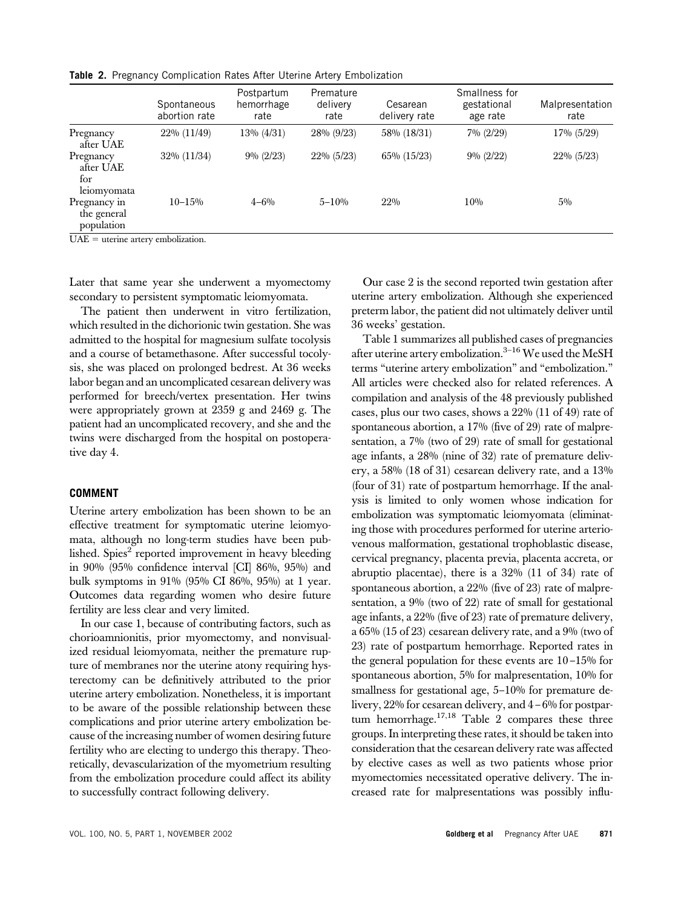**Table 2.** Pregnancy Complication Rates After Uterine Artery Embolization

|                                                                                 | Spontaneous<br>abortion rate | Postpartum<br>hemorrhage<br>rate | Premature<br>delivery<br>rate | Cesarean<br>delivery rate | Smallness for<br>gestational<br>age rate | Malpresentation<br>rate |
|---------------------------------------------------------------------------------|------------------------------|----------------------------------|-------------------------------|---------------------------|------------------------------------------|-------------------------|
| Pregnancy<br>after UAE                                                          | 22% (11/49)                  | 13% (4/31)                       | 28% (9/23)                    | 58% (18/31)               | $7\% (2/29)$                             | 17% (5/29)              |
| Pregnancy<br>after UAE<br>for<br>leiomyomata                                    | 32% (11/34)                  | $9\% (2/23)$                     | 22% (5/23)                    | $65\% (15/23)$            | $9\% (2/22)$                             | 22% (5/23)              |
| Pregnancy in<br>the general<br>population<br>$\mathbf{H} \mathbf{A} \mathbf{H}$ | $10 - 15%$                   | $4 - 6\%$                        | $5 - 10%$                     | 22%                       | 10%                                      | $5\%$                   |

 $UAE =$  uterine artery embolization.

Later that same year she underwent a myomectomy secondary to persistent symptomatic leiomyomata.

The patient then underwent in vitro fertilization, which resulted in the dichorionic twin gestation. She was admitted to the hospital for magnesium sulfate tocolysis and a course of betamethasone. After successful tocolysis, she was placed on prolonged bedrest. At 36 weeks labor began and an uncomplicated cesarean delivery was performed for breech/vertex presentation. Her twins were appropriately grown at 2359 g and 2469 g. The patient had an uncomplicated recovery, and she and the twins were discharged from the hospital on postoperative day 4.

#### **COMMENT**

Uterine artery embolization has been shown to be an effective treatment for symptomatic uterine leiomyomata, although no long-term studies have been published. Spies $2$  reported improvement in heavy bleeding in 90% (95% confidence interval [CI] 86%, 95%) and bulk symptoms in 91% (95% CI 86%, 95%) at 1 year. Outcomes data regarding women who desire future fertility are less clear and very limited.

In our case 1, because of contributing factors, such as chorioamnionitis, prior myomectomy, and nonvisualized residual leiomyomata, neither the premature rupture of membranes nor the uterine atony requiring hysterectomy can be definitively attributed to the prior uterine artery embolization. Nonetheless, it is important to be aware of the possible relationship between these complications and prior uterine artery embolization because of the increasing number of women desiring future fertility who are electing to undergo this therapy. Theoretically, devascularization of the myometrium resulting from the embolization procedure could affect its ability to successfully contract following delivery.

Our case 2 is the second reported twin gestation after uterine artery embolization. Although she experienced preterm labor, the patient did not ultimately deliver until 36 weeks' gestation.

Table 1 summarizes all published cases of pregnancies after uterine artery embolization.<sup>3-16</sup> We used the MeSH terms "uterine artery embolization" and "embolization." All articles were checked also for related references. A compilation and analysis of the 48 previously published cases, plus our two cases, shows a 22% (11 of 49) rate of spontaneous abortion, a 17% (five of 29) rate of malpresentation, a 7% (two of 29) rate of small for gestational age infants, a 28% (nine of 32) rate of premature delivery, a 58% (18 of 31) cesarean delivery rate, and a 13% (four of 31) rate of postpartum hemorrhage. If the analysis is limited to only women whose indication for embolization was symptomatic leiomyomata (eliminating those with procedures performed for uterine arteriovenous malformation, gestational trophoblastic disease, cervical pregnancy, placenta previa, placenta accreta, or abruptio placentae), there is a 32% (11 of 34) rate of spontaneous abortion, a 22% (five of 23) rate of malpresentation, a 9% (two of 22) rate of small for gestational age infants, a 22% (five of 23) rate of premature delivery, a 65% (15 of 23) cesarean delivery rate, and a 9% (two of 23) rate of postpartum hemorrhage. Reported rates in the general population for these events are 10–15% for spontaneous abortion, 5% for malpresentation, 10% for smallness for gestational age, 5-10% for premature delivery, 22% for cesarean delivery, and 4–6% for postpartum hemorrhage. $17,18$  Table 2 compares these three groups. In interpreting these rates, it should be taken into consideration that the cesarean delivery rate was affected by elective cases as well as two patients whose prior myomectomies necessitated operative delivery. The increased rate for malpresentations was possibly influ